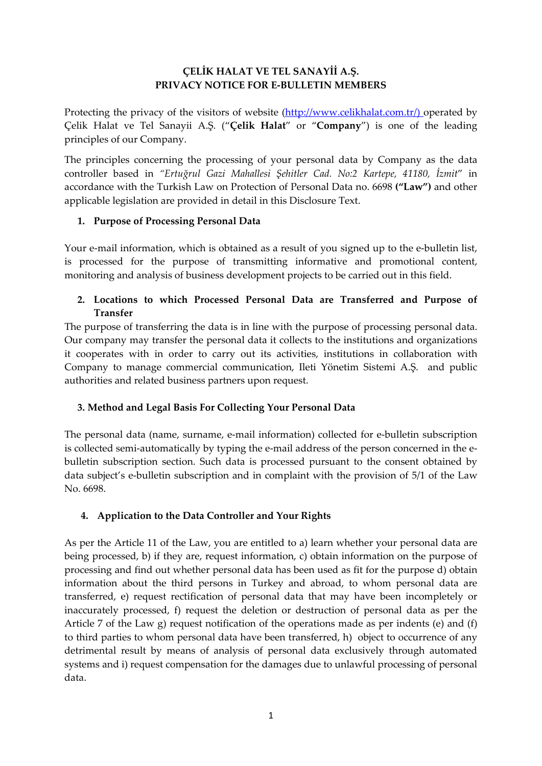## **ÇELİK HALAT VE TEL SANAYİİ A.Ş. PRIVACY NOTICE FOR E-BULLETIN MEMBERS**

Protecting the privacy of the visitors of website [\(http://www.celikhalat.com.tr/\)](http://www.celikhalat.com.tr/) operated by Çelik Halat ve Tel Sanayii A.Ş. ("**Çelik Halat**" or "**Company**") is one of the leading principles of our Company.

The principles concerning the processing of your personal data by Company as the data controller based in *"Ertuğrul Gazi Mahallesi Şehitler Cad. No:2 Kartepe, 41180, İzmit*" in accordance with the Turkish Law on Protection of Personal Data no. 6698 **("Law")** and other applicable legislation are provided in detail in this Disclosure Text.

### **1. Purpose of Processing Personal Data**

Your e-mail information, which is obtained as a result of you signed up to the e-bulletin list, is processed for the purpose of transmitting informative and promotional content, monitoring and analysis of business development projects to be carried out in this field.

## **2. Locations to which Processed Personal Data are Transferred and Purpose of Transfer**

The purpose of transferring the data is in line with the purpose of processing personal data. Our company may transfer the personal data it collects to the institutions and organizations it cooperates with in order to carry out its activities, institutions in collaboration with Company to manage commercial communication, Ileti Yönetim Sistemi A.Ş. and public authorities and related business partners upon request.

# **3. Method and Legal Basis For Collecting Your Personal Data**

The personal data (name, surname, e-mail information) collected for e-bulletin subscription is collected semi-automatically by typing the e-mail address of the person concerned in the ebulletin subscription section. Such data is processed pursuant to the consent obtained by data subject's e-bulletin subscription and in complaint with the provision of 5/1 of the Law No. 6698.

### **4. Application to the Data Controller and Your Rights**

As per the Article 11 of the Law, you are entitled to a) learn whether your personal data are being processed, b) if they are, request information, c) obtain information on the purpose of processing and find out whether personal data has been used as fit for the purpose d) obtain information about the third persons in Turkey and abroad, to whom personal data are transferred, e) request rectification of personal data that may have been incompletely or inaccurately processed, f) request the deletion or destruction of personal data as per the Article 7 of the Law g) request notification of the operations made as per indents (e) and (f) to third parties to whom personal data have been transferred, h) object to occurrence of any detrimental result by means of analysis of personal data exclusively through automated systems and i) request compensation for the damages due to unlawful processing of personal data.